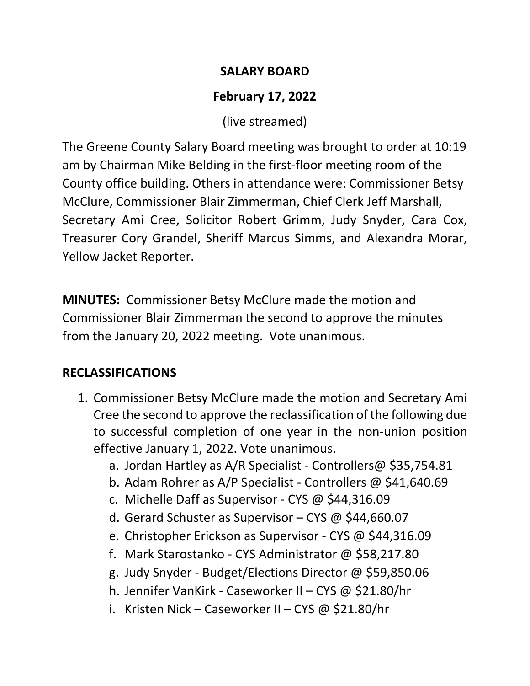## **SALARY BOARD**

# **February 17, 2022**

(live streamed)

The Greene County Salary Board meeting was brought to order at 10:19 am by Chairman Mike Belding in the first-floor meeting room of the County office building. Others in attendance were: Commissioner Betsy McClure, Commissioner Blair Zimmerman, Chief Clerk Jeff Marshall, Secretary Ami Cree, Solicitor Robert Grimm, Judy Snyder, Cara Cox, Treasurer Cory Grandel, Sheriff Marcus Simms, and Alexandra Morar, Yellow Jacket Reporter.

**MINUTES:** Commissioner Betsy McClure made the motion and Commissioner Blair Zimmerman the second to approve the minutes from the January 20, 2022 meeting. Vote unanimous.

## **RECLASSIFICATIONS**

- 1. Commissioner Betsy McClure made the motion and Secretary Ami Cree the second to approve the reclassification of the following due to successful completion of one year in the non-union position effective January 1, 2022. Vote unanimous.
	- a. Jordan Hartley as A/R Specialist Controllers@ \$35,754.81
	- b. Adam Rohrer as A/P Specialist Controllers @ \$41,640.69
	- c. Michelle Daff as Supervisor CYS @ \$44,316.09
	- d. Gerard Schuster as Supervisor CYS @ \$44,660.07
	- e. Christopher Erickson as Supervisor CYS @ \$44,316.09
	- f. Mark Starostanko CYS Administrator @ \$58,217.80
	- g. Judy Snyder Budget/Elections Director @ \$59,850.06
	- h. Jennifer VanKirk Caseworker II CYS @ \$21.80/hr
	- i. Kristen Nick Caseworker II CYS @ \$21.80/hr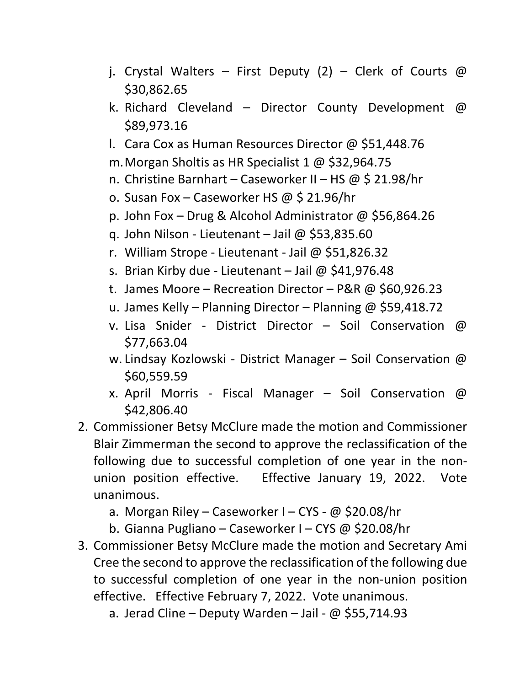- j. Crystal Walters First Deputy (2) Clerk of Courts @ \$30,862.65
- k. Richard Cleveland Director County Development @ \$89,973.16
- l. Cara Cox as Human Resources Director @ \$51,448.76
- m.Morgan Sholtis as HR Specialist 1 @ \$32,964.75
- n. Christine Barnhart Caseworker II HS @ \$ 21.98/hr
- o. Susan Fox Caseworker HS @ \$ 21.96/hr
- p. John Fox Drug & Alcohol Administrator @ \$56,864.26
- q. John Nilson Lieutenant Jail @ \$53,835.60
- r. William Strope Lieutenant Jail @ \$51,826.32
- s. Brian Kirby due Lieutenant Jail @ \$41,976.48
- t. James Moore Recreation Director P&R @ \$60,926.23
- u. James Kelly Planning Director Planning @ \$59,418.72
- v. Lisa Snider District Director Soil Conservation @ \$77,663.04
- w. Lindsay Kozlowski District Manager Soil Conservation @ \$60,559.59
- x. April Morris Fiscal Manager Soil Conservation @ \$42,806.40
- 2. Commissioner Betsy McClure made the motion and Commissioner Blair Zimmerman the second to approve the reclassification of the following due to successful completion of one year in the nonunion position effective. Effective January 19, 2022. Vote unanimous.
	- a. Morgan Riley Caseworker I CYS @ \$20.08/hr
	- b. Gianna Pugliano Caseworker I CYS @ \$20.08/hr
- 3. Commissioner Betsy McClure made the motion and Secretary Ami Cree the second to approve the reclassification of the following due to successful completion of one year in the non-union position effective. Effective February 7, 2022. Vote unanimous.
	- a. Jerad Cline Deputy Warden Jail  $\omega$  \$55,714.93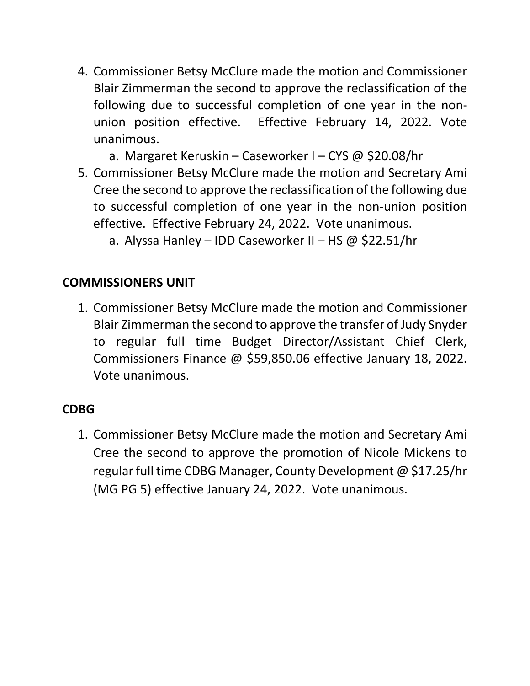- 4. Commissioner Betsy McClure made the motion and Commissioner Blair Zimmerman the second to approve the reclassification of the following due to successful completion of one year in the nonunion position effective. Effective February 14, 2022. Vote unanimous.
	- a. Margaret Keruskin Caseworker I CYS @ \$20.08/hr
- 5. Commissioner Betsy McClure made the motion and Secretary Ami Cree the second to approve the reclassification of the following due to successful completion of one year in the non-union position effective. Effective February 24, 2022. Vote unanimous.
	- a. Alyssa Hanley IDD Caseworker II HS @ \$22.51/hr

### **COMMISSIONERS UNIT**

1. Commissioner Betsy McClure made the motion and Commissioner Blair Zimmerman the second to approve the transfer of Judy Snyder to regular full time Budget Director/Assistant Chief Clerk, Commissioners Finance @ \$59,850.06 effective January 18, 2022. Vote unanimous.

#### **CDBG**

1. Commissioner Betsy McClure made the motion and Secretary Ami Cree the second to approve the promotion of Nicole Mickens to regular full time CDBG Manager, County Development @ \$17.25/hr (MG PG 5) effective January 24, 2022. Vote unanimous.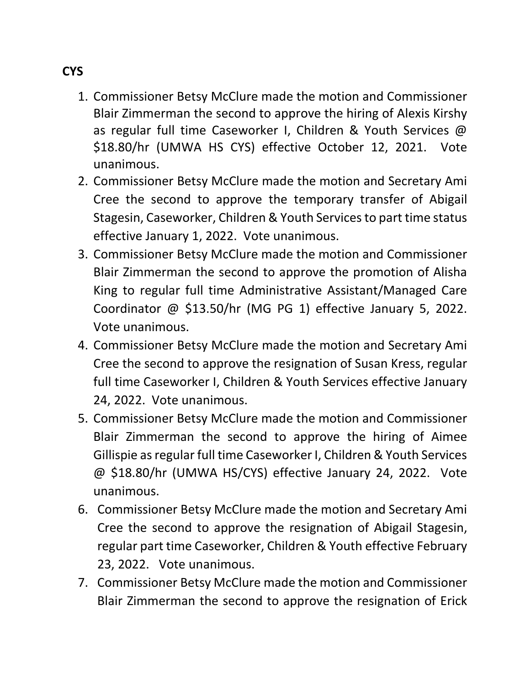- 1. Commissioner Betsy McClure made the motion and Commissioner Blair Zimmerman the second to approve the hiring of Alexis Kirshy as regular full time Caseworker I, Children & Youth Services @ \$18.80/hr (UMWA HS CYS) effective October 12, 2021. Vote unanimous.
- 2. Commissioner Betsy McClure made the motion and Secretary Ami Cree the second to approve the temporary transfer of Abigail Stagesin, Caseworker, Children & Youth Services to part time status effective January 1, 2022. Vote unanimous.
- 3. Commissioner Betsy McClure made the motion and Commissioner Blair Zimmerman the second to approve the promotion of Alisha King to regular full time Administrative Assistant/Managed Care Coordinator @ \$13.50/hr (MG PG 1) effective January 5, 2022. Vote unanimous.
- 4. Commissioner Betsy McClure made the motion and Secretary Ami Cree the second to approve the resignation of Susan Kress, regular full time Caseworker I, Children & Youth Services effective January 24, 2022. Vote unanimous.
- 5. Commissioner Betsy McClure made the motion and Commissioner Blair Zimmerman the second to approve the hiring of Aimee Gillispie as regular full time Caseworker I, Children & Youth Services @ \$18.80/hr (UMWA HS/CYS) effective January 24, 2022. Vote unanimous.
- 6. Commissioner Betsy McClure made the motion and Secretary Ami Cree the second to approve the resignation of Abigail Stagesin, regular part time Caseworker, Children & Youth effective February 23, 2022. Vote unanimous.
- 7. Commissioner Betsy McClure made the motion and Commissioner Blair Zimmerman the second to approve the resignation of Erick

## **CYS**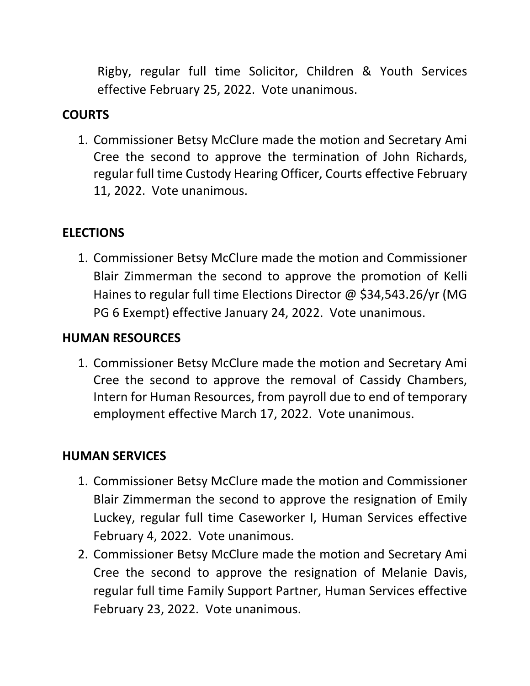Rigby, regular full time Solicitor, Children & Youth Services effective February 25, 2022. Vote unanimous.

## **COURTS**

1. Commissioner Betsy McClure made the motion and Secretary Ami Cree the second to approve the termination of John Richards, regular full time Custody Hearing Officer, Courts effective February 11, 2022. Vote unanimous.

## **ELECTIONS**

1. Commissioner Betsy McClure made the motion and Commissioner Blair Zimmerman the second to approve the promotion of Kelli Haines to regular full time Elections Director @ \$34,543.26/yr (MG PG 6 Exempt) effective January 24, 2022. Vote unanimous.

### **HUMAN RESOURCES**

1. Commissioner Betsy McClure made the motion and Secretary Ami Cree the second to approve the removal of Cassidy Chambers, Intern for Human Resources, from payroll due to end of temporary employment effective March 17, 2022. Vote unanimous.

#### **HUMAN SERVICES**

- 1. Commissioner Betsy McClure made the motion and Commissioner Blair Zimmerman the second to approve the resignation of Emily Luckey, regular full time Caseworker I, Human Services effective February 4, 2022. Vote unanimous.
- 2. Commissioner Betsy McClure made the motion and Secretary Ami Cree the second to approve the resignation of Melanie Davis, regular full time Family Support Partner, Human Services effective February 23, 2022. Vote unanimous.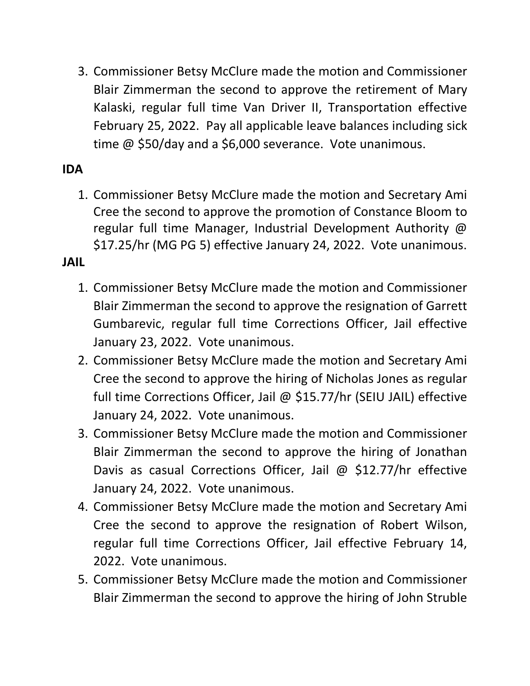3. Commissioner Betsy McClure made the motion and Commissioner Blair Zimmerman the second to approve the retirement of Mary Kalaski, regular full time Van Driver II, Transportation effective February 25, 2022. Pay all applicable leave balances including sick time @ \$50/day and a \$6,000 severance. Vote unanimous.

## **IDA**

1. Commissioner Betsy McClure made the motion and Secretary Ami Cree the second to approve the promotion of Constance Bloom to regular full time Manager, Industrial Development Authority @ \$17.25/hr (MG PG 5) effective January 24, 2022. Vote unanimous.

### **JAIL**

- 1. Commissioner Betsy McClure made the motion and Commissioner Blair Zimmerman the second to approve the resignation of Garrett Gumbarevic, regular full time Corrections Officer, Jail effective January 23, 2022. Vote unanimous.
- 2. Commissioner Betsy McClure made the motion and Secretary Ami Cree the second to approve the hiring of Nicholas Jones as regular full time Corrections Officer, Jail @ \$15.77/hr (SEIU JAIL) effective January 24, 2022. Vote unanimous.
- 3. Commissioner Betsy McClure made the motion and Commissioner Blair Zimmerman the second to approve the hiring of Jonathan Davis as casual Corrections Officer, Jail @ \$12.77/hr effective January 24, 2022. Vote unanimous.
- 4. Commissioner Betsy McClure made the motion and Secretary Ami Cree the second to approve the resignation of Robert Wilson, regular full time Corrections Officer, Jail effective February 14, 2022. Vote unanimous.
- 5. Commissioner Betsy McClure made the motion and Commissioner Blair Zimmerman the second to approve the hiring of John Struble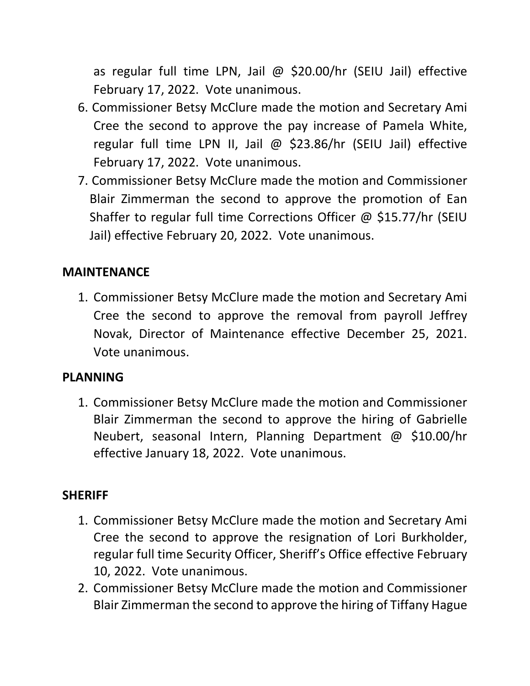as regular full time LPN, Jail @ \$20.00/hr (SEIU Jail) effective February 17, 2022. Vote unanimous.

- 6. Commissioner Betsy McClure made the motion and Secretary Ami Cree the second to approve the pay increase of Pamela White, regular full time LPN II, Jail @ \$23.86/hr (SEIU Jail) effective February 17, 2022. Vote unanimous.
- 7. Commissioner Betsy McClure made the motion and Commissioner Blair Zimmerman the second to approve the promotion of Ean Shaffer to regular full time Corrections Officer @ \$15.77/hr (SEIU Jail) effective February 20, 2022. Vote unanimous.

### **MAINTENANCE**

1. Commissioner Betsy McClure made the motion and Secretary Ami Cree the second to approve the removal from payroll Jeffrey Novak, Director of Maintenance effective December 25, 2021. Vote unanimous.

### **PLANNING**

1. Commissioner Betsy McClure made the motion and Commissioner Blair Zimmerman the second to approve the hiring of Gabrielle Neubert, seasonal Intern, Planning Department @ \$10.00/hr effective January 18, 2022. Vote unanimous.

### **SHERIFF**

- 1. Commissioner Betsy McClure made the motion and Secretary Ami Cree the second to approve the resignation of Lori Burkholder, regular full time Security Officer, Sheriff's Office effective February 10, 2022. Vote unanimous.
- 2. Commissioner Betsy McClure made the motion and Commissioner Blair Zimmerman the second to approve the hiring of Tiffany Hague